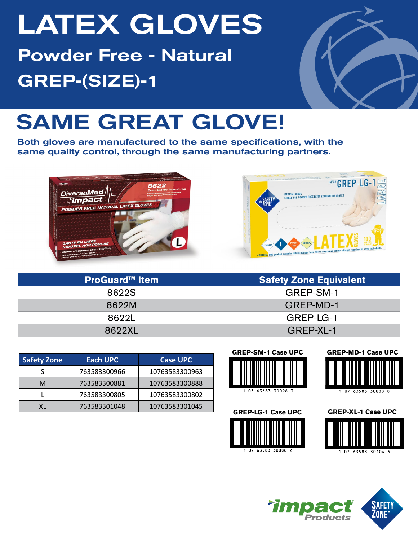# LATEX GLOVES Powder Free - Natural GREP-(SIZE)-1



## SAME GREAT GLOVE!

Both gloves are manufactured to the same specifications, with the same quality control, through the same manufacturing partners.





| <b>ProGuard™ Item</b> | <b>Safety Zone Equivalent</b> |  |  |  |  |
|-----------------------|-------------------------------|--|--|--|--|
| 8622S                 | GREP-SM-1                     |  |  |  |  |
| 8622M                 | GREP-MD-1                     |  |  |  |  |
| 86221                 | GREP-LG-1                     |  |  |  |  |
| 8622XL                | GREP-XL-1                     |  |  |  |  |

| <b>Safety Zone</b> | Each UPC     | <b>Case UPC</b> |  |  |  |  |
|--------------------|--------------|-----------------|--|--|--|--|
|                    | 763583300966 | 10763583300963  |  |  |  |  |
| м                  | 763583300881 | 10763583300888  |  |  |  |  |
|                    | 763583300805 | 10763583300802  |  |  |  |  |
|                    | 763583301048 | 10763583301045  |  |  |  |  |









**GREP-MD-1 Case UPC**



**GREP-LG-1 Case UPC GREP-XL-1 Case UPC**